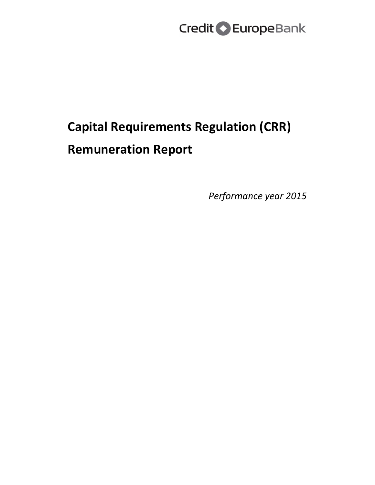# **Capital Requirements Regulation (CRR) Remuneration Report**

*Performance year 2015*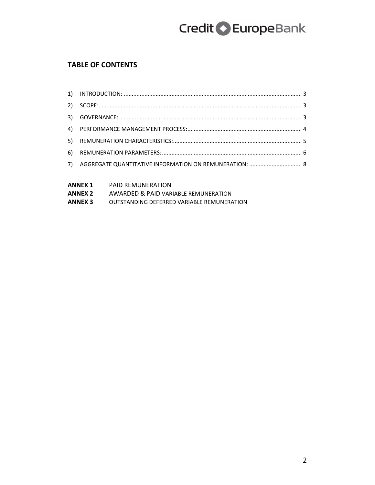### **TABLE OF CONTENTS**

| 2) |  |
|----|--|
|    |  |
|    |  |
|    |  |
|    |  |
| 7) |  |
|    |  |

| ANNEX 1        | <b>PAID REMUNERATION</b>                   |
|----------------|--------------------------------------------|
| ANNEX 2        | AWARDED & PAID VARIABLE REMUNERATION       |
| <b>ANNEX 3</b> | OUTSTANDING DEFERRED VARIABLE REMUNERATION |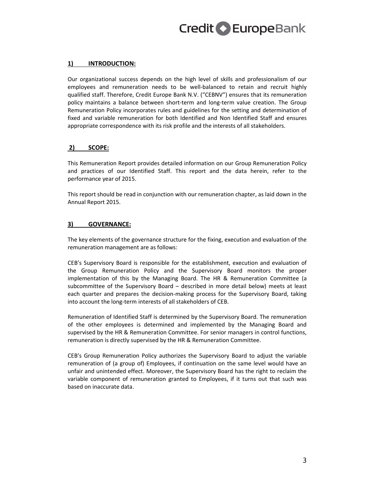#### **1) INTRODUCTION:**

Our organizational success depends on the high level of skills and professionalism of our employees and remuneration needs to be well-balanced to retain and recruit highly qualified staff. Therefore, Credit Europe Bank N.V. ("CEBNV") ensures that its remuneration policy maintains a balance between short-term and long-term value creation. The Group Remuneration Policy incorporates rules and guidelines for the setting and determination of fixed and variable remuneration for both Identified and Non Identified Staff and ensures appropriate correspondence with its risk profile and the interests of all stakeholders.

#### **2) SCOPE:**

This Remuneration Report provides detailed information on our Group Remuneration Policy and practices of our Identified Staff. This report and the data herein, refer to the performance year of 2015.

This report should be read in conjunction with our remuneration chapter, as laid down in the Annual Report 2015.

#### **3) GOVERNANCE:**

The key elements of the governance structure for the fixing, execution and evaluation of the remuneration management are as follows:

CEB's Supervisory Board is responsible for the establishment, execution and evaluation of the Group Remuneration Policy and the Supervisory Board monitors the proper implementation of this by the Managing Board. The HR & Remuneration Committee (a subcommittee of the Supervisory Board – described in more detail below) meets at least each quarter and prepares the decision-making process for the Supervisory Board, taking into account the long-term interests of all stakeholders of CEB.

Remuneration of Identified Staff is determined by the Supervisory Board. The remuneration of the other employees is determined and implemented by the Managing Board and supervised by the HR & Remuneration Committee. For senior managers in control functions, remuneration is directly supervised by the HR & Remuneration Committee.

CEB's Group Remuneration Policy authorizes the Supervisory Board to adjust the variable remuneration of (a group of) Employees, if continuation on the same level would have an unfair and unintended effect. Moreover, the Supervisory Board has the right to reclaim the variable component of remuneration granted to Employees, if it turns out that such was based on inaccurate data.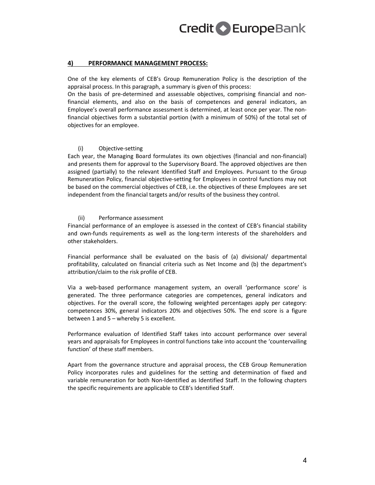#### **4) PERFORMANCE MANAGEMENT PROCESS:**

One of the key elements of CEB's Group Remuneration Policy is the description of the appraisal process. In this paragraph, a summary is given of this process:

On the basis of pre-determined and assessable objectives, comprising financial and nonfinancial elements, and also on the basis of competences and general indicators, an Employee's overall performance assessment is determined, at least once per year. The nonfinancial objectives form a substantial portion (with a minimum of 50%) of the total set of objectives for an employee.

#### (i) Objective-setting

Each year, the Managing Board formulates its own objectives (financial and non-financial) and presents them for approval to the Supervisory Board. The approved objectives are then assigned (partially) to the relevant Identified Staff and Employees. Pursuant to the Group Remuneration Policy, financial objective-setting for Employees in control functions may not be based on the commercial objectives of CEB, i.e. the objectives of these Employees are set independent from the financial targets and/or results of the business they control.

#### (ii) Performance assessment

Financial performance of an employee is assessed in the context of CEB's financial stability and own-funds requirements as well as the long-term interests of the shareholders and other stakeholders.

Financial performance shall be evaluated on the basis of (a) divisional/ departmental profitability, calculated on financial criteria such as Net Income and (b) the department's attribution/claim to the risk profile of CEB.

Via a web-based performance management system, an overall 'performance score' is generated. The three performance categories are competences, general indicators and objectives. For the overall score, the following weighted percentages apply per category: competences 30%, general indicators 20% and objectives 50%. The end score is a figure between 1 and 5 – whereby 5 is excellent.

Performance evaluation of Identified Staff takes into account performance over several years and appraisals for Employees in control functions take into account the 'countervailing function' of these staff members.

Apart from the governance structure and appraisal process, the CEB Group Remuneration Policy incorporates rules and guidelines for the setting and determination of fixed and variable remuneration for both Non-Identified as Identified Staff. In the following chapters the specific requirements are applicable to CEB's Identified Staff.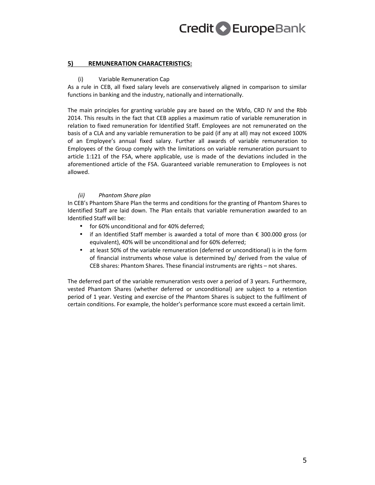#### **5) REMUNERATION CHARACTERISTICS:**

#### (i) Variable Remuneration Cap

As a rule in CEB, all fixed salary levels are conservatively aligned in comparison to similar functions in banking and the industry, nationally and internationally.

The main principles for granting variable pay are based on the Wbfo, CRD IV and the Rbb 2014. This results in the fact that CEB applies a maximum ratio of variable remuneration in relation to fixed remuneration for Identified Staff. Employees are not remunerated on the basis of a CLA and any variable remuneration to be paid (if any at all) may not exceed 100% of an Employee's annual fixed salary. Further all awards of variable remuneration to Employees of the Group comply with the limitations on variable remuneration pursuant to article 1:121 of the FSA, where applicable, use is made of the deviations included in the aforementioned article of the FSA. Guaranteed variable remuneration to Employees is not allowed.

#### *(ii) Phantom Share plan*

In CEB's Phantom Share Plan the terms and conditions for the granting of Phantom Shares to Identified Staff are laid down. The Plan entails that variable remuneration awarded to an Identified Staff will be:

- for 60% unconditional and for 40% deferred;
- if an Identified Staff member is awarded a total of more than  $€ 300.000$  gross (or equivalent), 40% will be unconditional and for 60% deferred;
- at least 50% of the variable remuneration (deferred or unconditional) is in the form of financial instruments whose value is determined by/ derived from the value of CEB shares: Phantom Shares. These financial instruments are rights – not shares.

The deferred part of the variable remuneration vests over a period of 3 years. Furthermore, vested Phantom Shares (whether deferred or unconditional) are subject to a retention period of 1 year. Vesting and exercise of the Phantom Shares is subject to the fulfilment of certain conditions. For example, the holder's performance score must exceed a certain limit.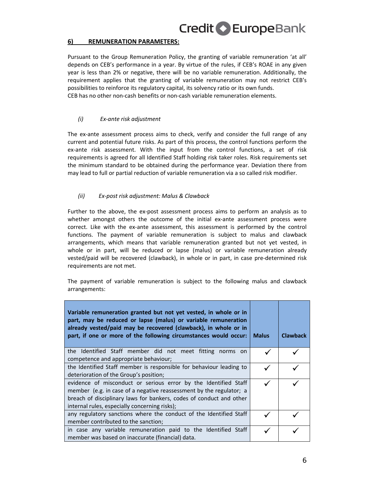#### **6) REMUNERATION PARAMETERS:**

Pursuant to the Group Remuneration Policy, the granting of variable remuneration 'at all' depends on CEB's performance in a year. By virtue of the rules, if CEB's ROAE in any given year is less than 2% or negative, there will be no variable remuneration. Additionally, the requirement applies that the granting of variable remuneration may not restrict CEB's possibilities to reinforce its regulatory capital, its solvency ratio or its own funds. CEB has no other non-cash benefits or non-cash variable remuneration elements.

#### *(i) Ex-ante risk adjustment*

The ex-ante assessment process aims to check, verify and consider the full range of any current and potential future risks. As part of this process, the control functions perform the ex-ante risk assessment. With the input from the control functions, a set of risk requirements is agreed for all Identified Staff holding risk taker roles. Risk requirements set the minimum standard to be obtained during the performance year. Deviation there from may lead to full or partial reduction of variable remuneration via a so called risk modifier.

#### *(ii) Ex-post risk adjustment: Malus & Clawback*

Further to the above, the ex-post assessment process aims to perform an analysis as to whether amongst others the outcome of the initial ex-ante assessment process were correct. Like with the ex-ante assessment, this assessment is performed by the control functions. The payment of variable remuneration is subject to malus and clawback arrangements, which means that variable remuneration granted but not yet vested, in whole or in part, will be reduced or lapse (malus) or variable remuneration already vested/paid will be recovered (clawback), in whole or in part, in case pre-determined risk requirements are not met.

The payment of variable remuneration is subject to the following malus and clawback arrangements:

| Variable remuneration granted but not yet vested, in whole or in<br>part, may be reduced or lapse (malus) or variable remuneration<br>already vested/paid may be recovered (clawback), in whole or in<br>part, if one or more of the following circumstances would occur: | <b>Malus</b> | <b>Clawback</b> |
|---------------------------------------------------------------------------------------------------------------------------------------------------------------------------------------------------------------------------------------------------------------------------|--------------|-----------------|
| the Identified Staff member did not meet fitting norms on<br>competence and appropriate behaviour;                                                                                                                                                                        |              |                 |
| the Identified Staff member is responsible for behaviour leading to<br>deterioration of the Group's position;                                                                                                                                                             |              |                 |
| evidence of misconduct or serious error by the Identified Staff<br>member (e.g. in case of a negative reassessment by the regulator; a<br>breach of disciplinary laws for bankers, codes of conduct and other<br>internal rules, especially concerning risks);            |              |                 |
| any regulatory sanctions where the conduct of the Identified Staff<br>member contributed to the sanction;                                                                                                                                                                 |              |                 |
| in case any variable remuneration paid to the Identified Staff<br>member was based on inaccurate (financial) data.                                                                                                                                                        |              |                 |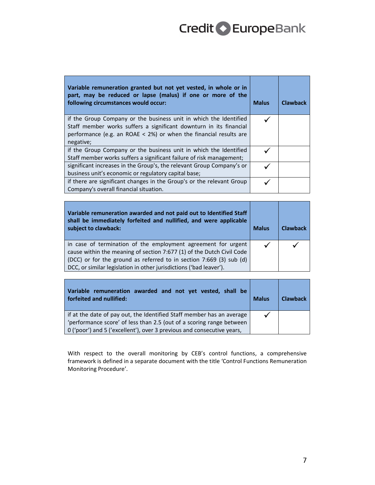| Variable remuneration granted but not yet vested, in whole or in<br>part, may be reduced or lapse (malus) if one or more of the<br>following circumstances would occur:                                                     | <b>Malus</b> | <b>Clawback</b> |
|-----------------------------------------------------------------------------------------------------------------------------------------------------------------------------------------------------------------------------|--------------|-----------------|
| if the Group Company or the business unit in which the Identified<br>Staff member works suffers a significant downturn in its financial<br>performance (e.g. an ROAE $<$ 2%) or when the financial results are<br>negative; |              |                 |
| if the Group Company or the business unit in which the Identified<br>Staff member works suffers a significant failure of risk management;                                                                                   |              |                 |
| significant increases in the Group's, the relevant Group Company's or<br>business unit's economic or regulatory capital base;                                                                                               |              |                 |
| if there are significant changes in the Group's or the relevant Group<br>Company's overall financial situation.                                                                                                             |              |                 |

| Variable remuneration awarded and not paid out to Identified Staff<br>shall be immediately forfeited and nullified, and were applicable<br>subject to clawback:                                                                                                                     | <b>Malus</b> | <b>Clawback</b> |
|-------------------------------------------------------------------------------------------------------------------------------------------------------------------------------------------------------------------------------------------------------------------------------------|--------------|-----------------|
| in case of termination of the employment agreement for urgent<br>cause within the meaning of section 7:677 (1) of the Dutch Civil Code<br>(DCC) or for the ground as referred to in section 7:669 (3) sub (d)<br>DCC, or similar legislation in other jurisdictions ('bad leaver'). |              |                 |

| Variable remuneration awarded and not yet vested, shall be<br>forfeited and nullified: | <b>Malus</b> | <b>Clawback</b> |
|----------------------------------------------------------------------------------------|--------------|-----------------|
| if at the date of pay out, the Identified Staff member has an average                  |              |                 |
| 'performance score' of less than 2.5 (out of a scoring range between                   |              |                 |
| 0 ('poor') and 5 ('excellent'), over 3 previous and consecutive years,                 |              |                 |

With respect to the overall monitoring by CEB's control functions, a comprehensive framework is defined in a separate document with the title 'Control Functions Remuneration Monitoring Procedure'.

ī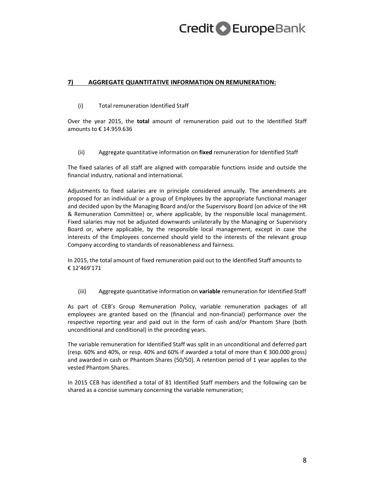#### **7) AGGREGATE QUANTITATIVE INFORMATION ON REMUNERATION:**

(i) Total remuneration Identified Staff

Over the year 2015, the **total** amount of remuneration paid out to the Identified Staff amounts to € 14.959.636

(ii) Aggregate quantitative information on **fixed** remuneration for Identified Staff

The fixed salaries of all staff are aligned with comparable functions inside and outside the financial industry, national and international.

Adjustments to fixed salaries are in principle considered annually. The amendments are proposed for an individual or a group of Employees by the appropriate functional manager and decided upon by the Managing Board and/or the Supervisory Board (on advice of the HR & Remuneration Committee) or, where applicable, by the responsible local management. Fixed salaries may not be adjusted downwards unilaterally by the Managing or Supervisory Board or, where applicable, by the responsible local management, except in case the interests of the Employees concerned should yield to the interests of the relevant group Company according to standards of reasonableness and fairness.

In 2015, the total amount of fixed remuneration paid out to the Identified Staff amounts to € 12'469'171

(iii) Aggregate quantitative information on **variable** remuneration for Identified Staff

As part of CEB's Group Remuneration Policy, variable remuneration packages of all employees are granted based on the (financial and non-financial) performance over the respective reporting year and paid out in the form of cash and/or Phantom Share (both unconditional and conditional) in the preceding years.

The variable remuneration for Identified Staff was split in an unconditional and deferred part (resp. 60% and 40%, or resp. 40% and 60% if awarded a total of more than  $\epsilon$  300.000 gross) and awarded in cash or Phantom Shares (50/50). A retention period of 1 year applies to the vested Phantom Shares.

In 2015 CEB has identified a total of 81 Identified Staff members and the following can be shared as a concise summary concerning the variable remuneration;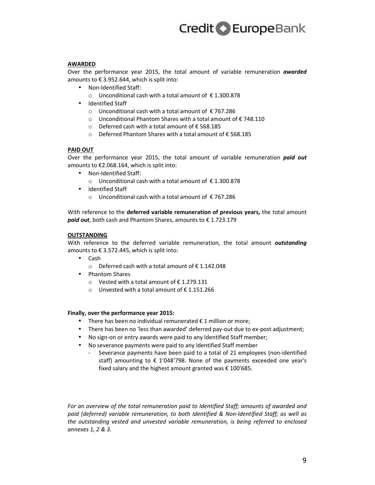#### **AWARDED**

Over the performance year 2015, the total amount of variable remuneration *awarded* amounts to  $\epsilon$  3.952.644, which is split into:

- Non-Identified Staff:
	- o Unconditional cash with a total amount of € 1.300.878
- Identified Staff
	- o Unconditional cash with a total amount of € 767.286
	- o Unconditional Phantom Shares with a total amount of € 748.110
	- o Deferred cash with a total amount of € 568.185
	- o Deferred Phantom Shares with a total amount of € 568.185

#### **PAID OUT**

Over the performance year 2015, the total amount of variable remuneration *paid out* amounts to €2.068.164, which is split into:

- Non-Identified Staff:
	- o Unconditional cash with a total amount of € 1.300.878
- Identified Staff
	- o Unconditional cash with a total amount of € 767.286

With reference to the **deferred variable remuneration of previous years,** the total amount *paid out,* both cash and Phantom Shares, amounts to € 1.723.179

#### **OUTSTANDING**

With reference to the deferred variable remuneration, the total amount *outstanding* amounts to € 3.572.445, which is split into:

- Cash
	- o Deferred cash with a total amount of € 1.142.048
- Phantom Shares
	- o Vested with a total amount of € 1.279.131
	- o Unvested with a total amount of € 1.151.266

#### **Finally, over the performance year 2015:**

- There has been no individual remunerated  $\epsilon$  1 million or more;
- There has been no 'less than awarded' deferred pay-out due to ex-post adjustment;
- No sign-on or entry awards were paid to any Identified Staff member;
- No severance payments were paid to any Identified Staff member
	- Severance payments have been paid to a total of 21 employees (non-identified staff) amounting to € 1'048'798. None of the payments exceeded one year's fixed salary and the highest amount granted was  $\epsilon$  100'685.

*For an overview of the total remuneration paid to Identified Staff; amounts of awarded and paid (deferred) variable remuneration, to both Identified & Non-Identified Staff; as well as the outstanding vested and unvested variable remuneration, is being referred to enclosed annexes 1, 2 & 3.*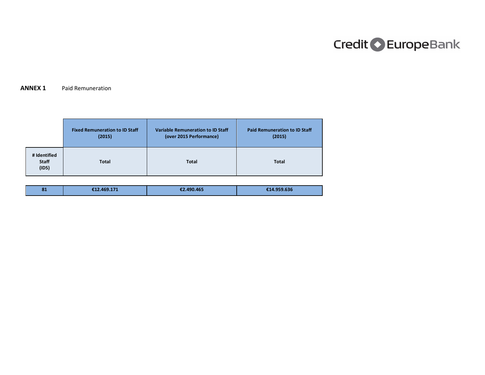#### **ANNEX 1** Paid Remuneration

|                                       | <b>Fixed Remuneration to ID Staff</b> | <b>Variable Remuneration to ID Staff</b> | <b>Paid Remuneration to ID Staff</b> |
|---------------------------------------|---------------------------------------|------------------------------------------|--------------------------------------|
|                                       | (2015)                                | (over 2015 Performance)                  | (2015)                               |
| # Identified<br><b>Staff</b><br>(IDS) | <b>Total</b>                          | <b>Total</b>                             | <b>Total</b>                         |

| 81 | €12.469.171<br>€2.490.465 | £14.959.636 |
|----|---------------------------|-------------|
|----|---------------------------|-------------|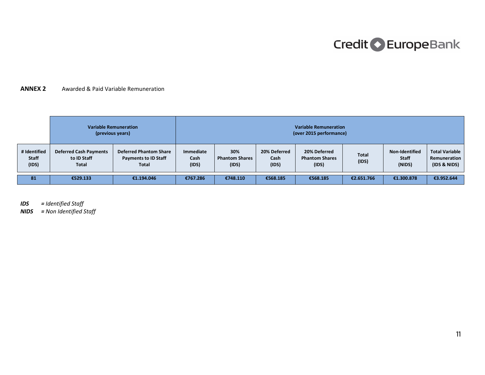### **ANNEX 2** Awarded & Paid Variable Remuneration

| <b>Variable Remuneration</b><br>(previous years) |                                                              |                                                                              |                            |                                       | <b>Variable Remuneration</b><br>(over 2015 performance) |                                                |                       |                                          |                                                       |
|--------------------------------------------------|--------------------------------------------------------------|------------------------------------------------------------------------------|----------------------------|---------------------------------------|---------------------------------------------------------|------------------------------------------------|-----------------------|------------------------------------------|-------------------------------------------------------|
| # Identified<br><b>Staff</b><br>(IDS)            | <b>Deferred Cash Payments</b><br>to ID Staff<br><b>Total</b> | <b>Deferred Phantom Share</b><br><b>Payments to ID Staff</b><br><b>Total</b> | Immediate<br>Cash<br>(IDS) | 30%<br><b>Phantom Shares</b><br>(IDS) | 20% Deferred<br>Cash<br>(IDS)                           | 20% Deferred<br><b>Phantom Shares</b><br>(IDS) | <b>Total</b><br>(IDS) | Non-Identified<br><b>Staff</b><br>(NIDS) | <b>Total Variable</b><br>Remuneration<br>(IDS & NIDS) |
| 81                                               | €529.133                                                     | €1.194.046                                                                   | €767.286                   | €748.110                              | €568.185                                                | €568.185                                       | €2.651.766            | €1.300.878                               | €3.952.644                                            |

*IDS = Identified Staff* 

*NIDS = Non Identified Staff*